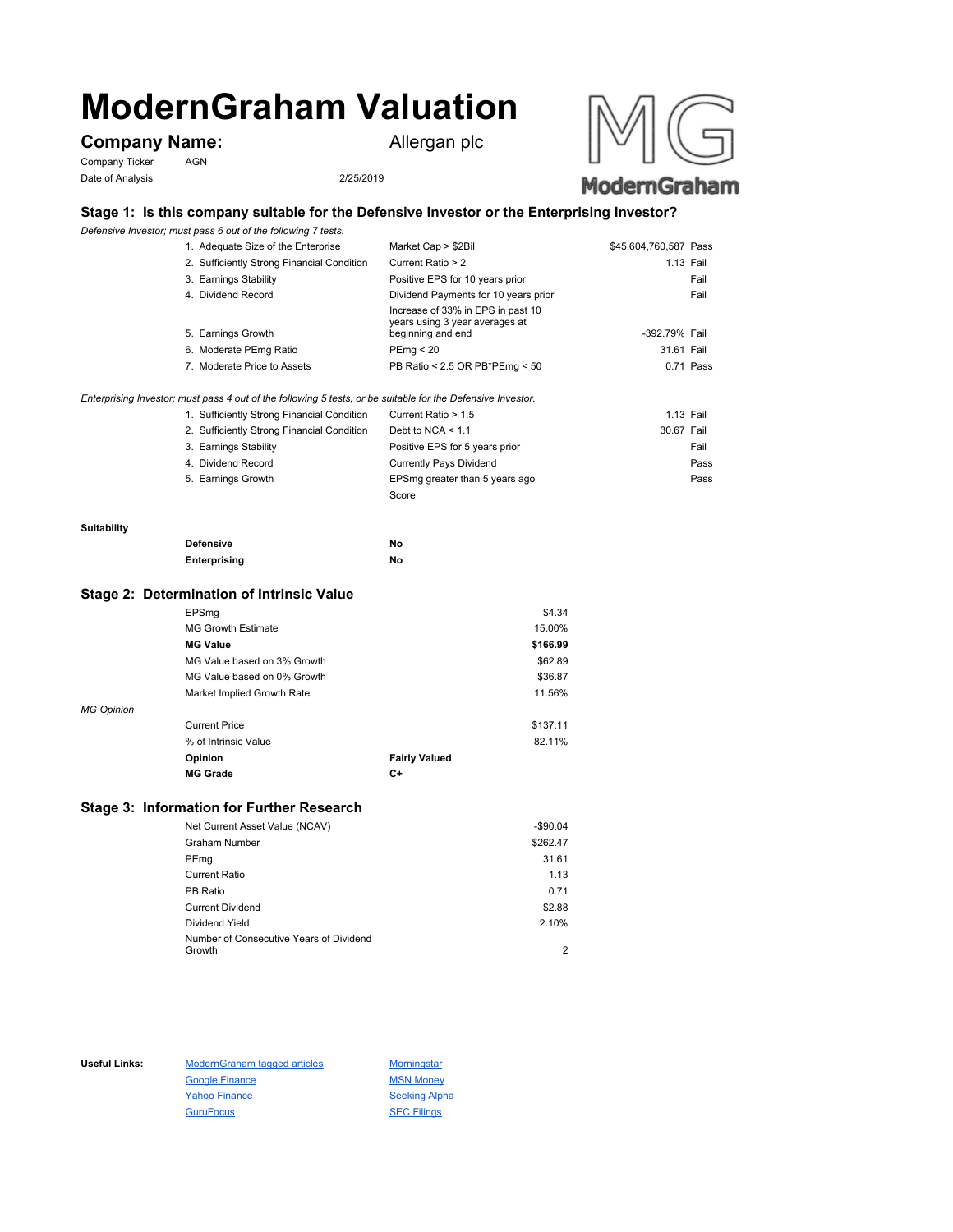# **ModernGraham Valuation**

# **Company Name:** Allergan plc

Company Ticker AGN Date of Analysis 2/25/2019





## **Stage 1: Is this company suitable for the Defensive Investor or the Enterprising Investor?**

*Defensive Investor; must pass 6 out of the following 7 tests.*

| 1. Adequate Size of the Enterprise         | Market Cap > \$2Bil                                                 | \$45,604,760,587 Pass |           |
|--------------------------------------------|---------------------------------------------------------------------|-----------------------|-----------|
| 2. Sufficiently Strong Financial Condition | Current Ratio > 2                                                   | 1.13 Fail             |           |
| 3. Earnings Stability                      | Positive EPS for 10 years prior                                     |                       | Fail      |
| 4. Dividend Record                         | Dividend Payments for 10 years prior                                |                       | Fail      |
|                                            | Increase of 33% in EPS in past 10<br>years using 3 year averages at |                       |           |
| 5. Earnings Growth                         | beginning and end                                                   | -392.79% Fail         |           |
| 6. Moderate PEmg Ratio                     | PEmq < 20                                                           | 31.61 Fail            |           |
| 7. Moderate Price to Assets                | PB Ratio < 2.5 OR PB*PEmg < 50                                      |                       | 0.71 Pass |
|                                            |                                                                     |                       |           |

*Enterprising Investor; must pass 4 out of the following 5 tests, or be suitable for the Defensive Investor.*

| 1. Sufficiently Strong Financial Condition | Current Ratio > 1.5            | 1.13 Fail  |      |
|--------------------------------------------|--------------------------------|------------|------|
| 2. Sufficiently Strong Financial Condition | Debt to NCA $<$ 1.1            | 30.67 Fail |      |
| 3. Earnings Stability                      | Positive EPS for 5 years prior |            | Fail |
| 4. Dividend Record                         | <b>Currently Pays Dividend</b> |            | Pass |
| 5. Earnings Growth                         | EPSmg greater than 5 years ago |            | Pass |
|                                            | Score                          |            |      |

#### **Suitability**

| <b>Defensive</b> | Νo |
|------------------|----|
| Enterprising     | Νo |

#### **Stage 2: Determination of Intrinsic Value**

|                   | EPSmg                       |                      | \$4.34   |
|-------------------|-----------------------------|----------------------|----------|
|                   | <b>MG Growth Estimate</b>   |                      | 15.00%   |
|                   | <b>MG Value</b>             |                      | \$166.99 |
|                   | MG Value based on 3% Growth |                      | \$62.89  |
|                   | MG Value based on 0% Growth |                      | \$36.87  |
|                   | Market Implied Growth Rate  |                      | 11.56%   |
| <b>MG Opinion</b> |                             |                      |          |
|                   | <b>Current Price</b>        |                      | \$137.11 |
|                   | % of Intrinsic Value        |                      | 82.11%   |
|                   | Opinion                     | <b>Fairly Valued</b> |          |
|                   | <b>MG Grade</b>             | C+                   |          |
|                   |                             |                      |          |

## **Stage 3: Information for Further Research**

| Net Current Asset Value (NCAV)          | $-$90.04$ |
|-----------------------------------------|-----------|
| Graham Number                           | \$262.47  |
| PEmg                                    | 31.61     |
| Current Ratio                           | 1.13      |
| PB Ratio                                | 0.71      |
| <b>Current Dividend</b>                 | \$2.88    |
| Dividend Yield                          | 2.10%     |
| Number of Consecutive Years of Dividend |           |
| Growth                                  | 2         |

Useful Links: ModernGraham tagged articles Morningstar Google Finance MSN Money Yahoo Finance Seeking Alpha GuruFocus SEC Filings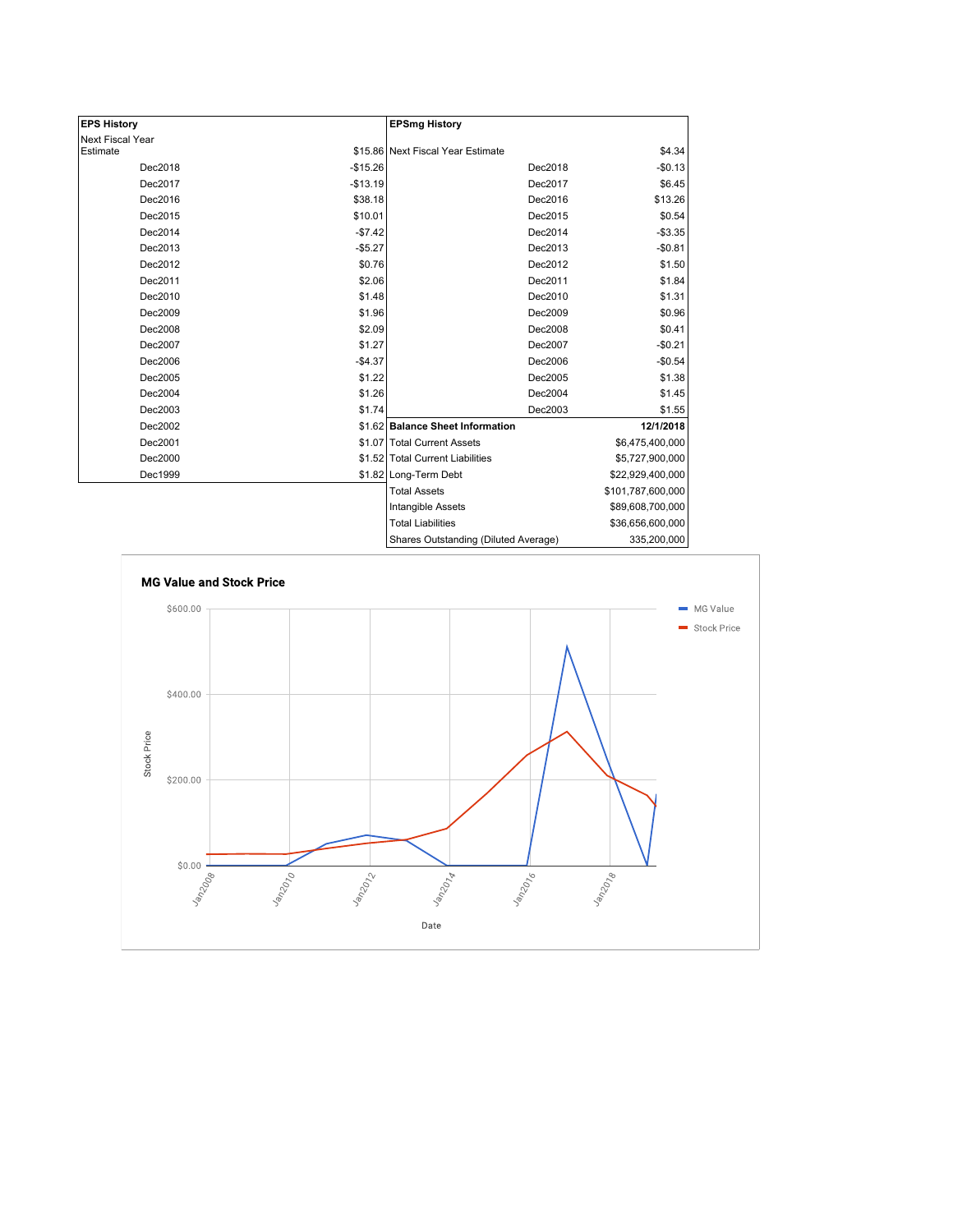| <b>EPS History</b> |           | <b>EPSmg History</b>                 |                   |
|--------------------|-----------|--------------------------------------|-------------------|
| Next Fiscal Year   |           |                                      |                   |
| Estimate           |           | \$15.86 Next Fiscal Year Estimate    | \$4.34            |
| Dec2018            | $-$15.26$ | Dec2018                              | $-$0.13$          |
| Dec2017            | $-$13.19$ | Dec2017                              | \$6.45            |
| Dec2016            | \$38.18   | Dec2016                              | \$13.26           |
| Dec2015            | \$10.01   | Dec2015                              | \$0.54            |
| Dec2014            | $-$7.42$  | Dec2014                              | $-$3.35$          |
| Dec2013            | $-$5.27$  | Dec2013                              | $-$0.81$          |
| Dec2012            | \$0.76    | Dec2012                              | \$1.50            |
| Dec2011            | \$2.06    | Dec2011                              | \$1.84            |
| Dec2010            | \$1.48    | Dec2010                              | \$1.31            |
| Dec2009            | \$1.96    | Dec2009                              | \$0.96            |
| Dec2008            | \$2.09    | Dec2008                              | \$0.41            |
| Dec2007            | \$1.27    | Dec2007                              | $-$0.21$          |
| Dec2006            | $-$4.37$  | Dec2006                              | $-$0.54$          |
| Dec2005            | \$1.22    | Dec2005                              | \$1.38            |
| Dec2004            | \$1.26    | Dec2004                              | \$1.45            |
| Dec2003            | \$1.74    | Dec2003                              | \$1.55            |
| Dec2002            |           | \$1.62 Balance Sheet Information     | 12/1/2018         |
| Dec2001            |           | \$1.07 Total Current Assets          | \$6,475,400,000   |
| Dec2000            |           | \$1.52 Total Current Liabilities     | \$5,727,900,000   |
| Dec1999            |           | \$1.82 Long-Term Debt                | \$22,929,400,000  |
|                    |           | <b>Total Assets</b>                  | \$101,787,600,000 |
|                    |           | Intangible Assets                    | \$89,608,700,000  |
|                    |           | <b>Total Liabilities</b>             | \$36,656,600,000  |
|                    |           | Charge Outetanding (Diluted Average) | 335 200 000       |